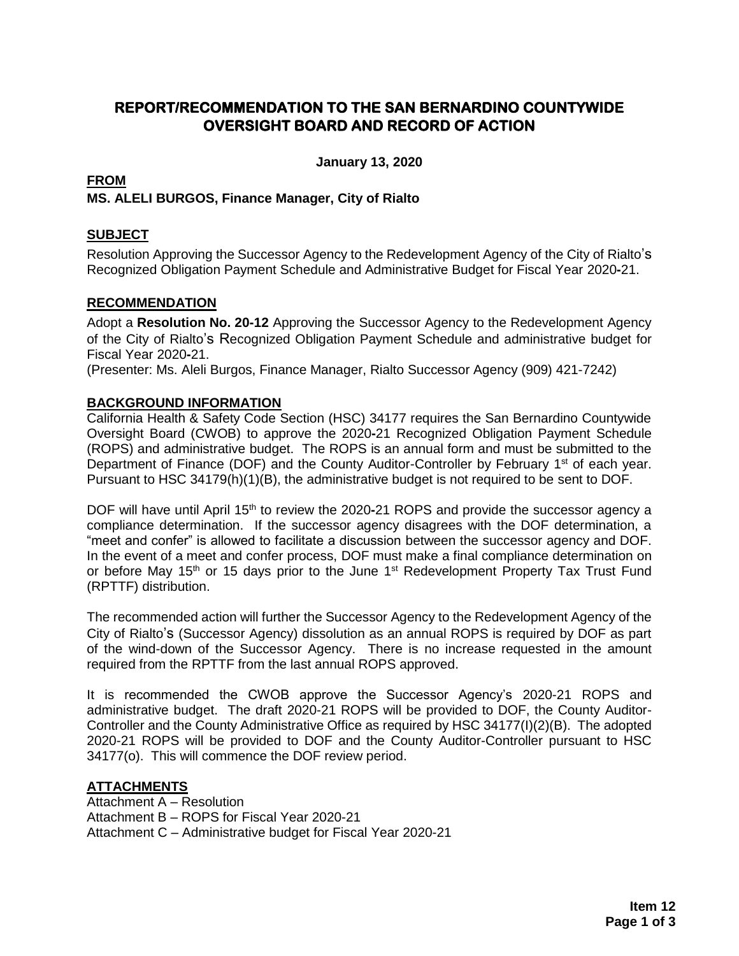# **REPORT/RECOMMENDATION TO THE SAN BERNARDINO COUNTYWIDE OVERSIGHT BOARD AND RECORD OF ACTION**

**January 13, 2020**

### **FROM MS. ALELI BURGOS, Finance Manager, City of Rialto**

### **SUBJECT**

Resolution Approving the Successor Agency to the Redevelopment Agency of the City of Rialto's Recognized Obligation Payment Schedule and Administrative Budget for Fiscal Year 2020**-**21.

#### **RECOMMENDATION**

Adopt a **Resolution No. 20-12** Approving the Successor Agency to the Redevelopment Agency of the City of Rialto's Recognized Obligation Payment Schedule and administrative budget for Fiscal Year 2020**-**21.

(Presenter: Ms. Aleli Burgos, Finance Manager, Rialto Successor Agency (909) 421-7242)

### **BACKGROUND INFORMATION**

California Health & Safety Code Section (HSC) 34177 requires the San Bernardino Countywide Oversight Board (CWOB) to approve the 2020**-**21 Recognized Obligation Payment Schedule (ROPS) and administrative budget. The ROPS is an annual form and must be submitted to the Department of Finance (DOF) and the County Auditor-Controller by February 1<sup>st</sup> of each year. Pursuant to HSC 34179(h)(1)(B), the administrative budget is not required to be sent to DOF.

DOF will have until April 15<sup>th</sup> to review the 2020-21 ROPS and provide the successor agency a compliance determination. If the successor agency disagrees with the DOF determination, a "meet and confer" is allowed to facilitate a discussion between the successor agency and DOF. In the event of a meet and confer process, DOF must make a final compliance determination on or before May 15<sup>th</sup> or 15 days prior to the June 1<sup>st</sup> Redevelopment Property Tax Trust Fund (RPTTF) distribution.

The recommended action will further the Successor Agency to the Redevelopment Agency of the City of Rialto's (Successor Agency) dissolution as an annual ROPS is required by DOF as part of the wind-down of the Successor Agency. There is no increase requested in the amount required from the RPTTF from the last annual ROPS approved.

It is recommended the CWOB approve the Successor Agency's 2020-21 ROPS and administrative budget. The draft 2020-21 ROPS will be provided to DOF, the County Auditor-Controller and the County Administrative Office as required by HSC 34177(I)(2)(B). The adopted 2020-21 ROPS will be provided to DOF and the County Auditor-Controller pursuant to HSC 34177(o). This will commence the DOF review period.

## **ATTACHMENTS**

Attachment A – Resolution Attachment B – ROPS for Fiscal Year 2020-21 Attachment C – Administrative budget for Fiscal Year 2020-21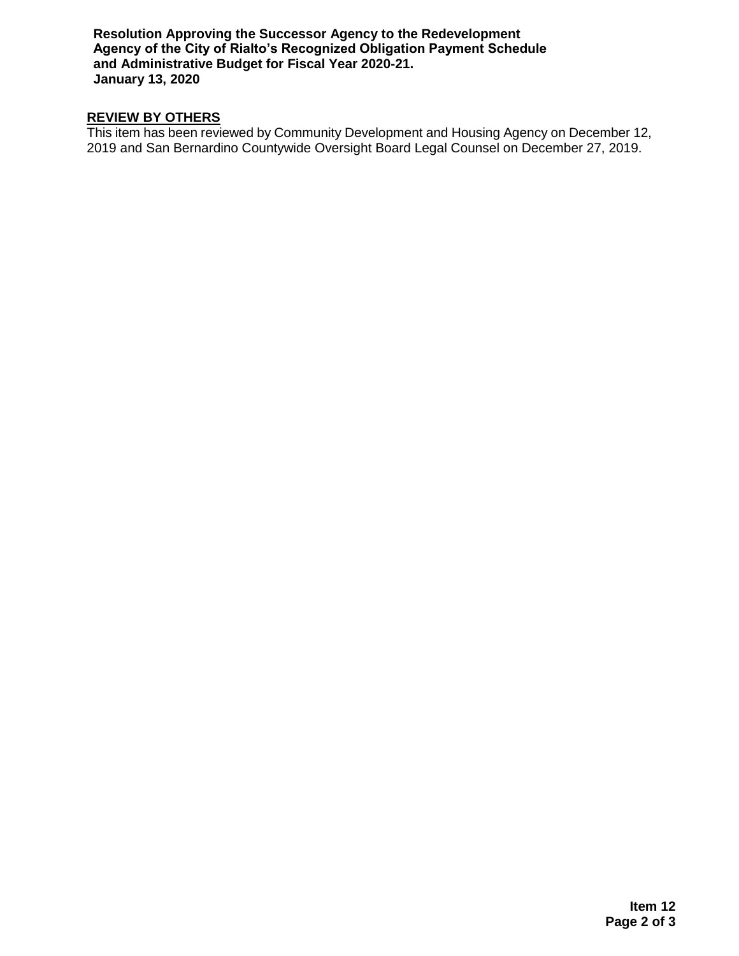**Resolution Approving the Successor Agency to the Redevelopment Agency of the City of Rialto's Recognized Obligation Payment Schedule and Administrative Budget for Fiscal Year 2020-21. January 13, 2020**

# **REVIEW BY OTHERS**

This item has been reviewed by Community Development and Housing Agency on December 12, 2019 and San Bernardino Countywide Oversight Board Legal Counsel on December 27, 2019.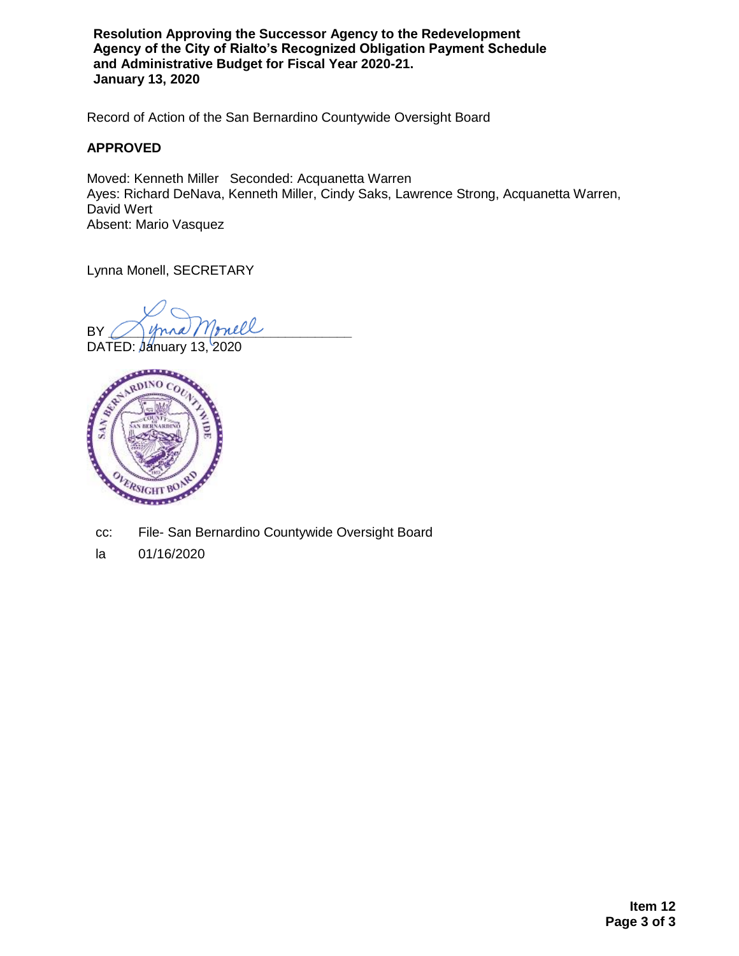**Resolution Approving the Successor Agency to the Redevelopment Agency of the City of Rialto's Recognized Obligation Payment Schedule and Administrative Budget for Fiscal Year 2020-21. January 13, 2020**

Record of Action of the San Bernardino Countywide Oversight Board

#### **APPROVED**

Moved: Kenneth Miller Seconded: Acquanetta Warren Ayes: Richard DeNava, Kenneth Miller, Cindy Saks, Lawrence Strong, Acquanetta Warren, David Wert Absent: Mario Vasquez

Lynna Monell, SECRETARY

BY Mona Monell

DATED: January 13, 2020



- cc: File- San Bernardino Countywide Oversight Board
- la 01/16/2020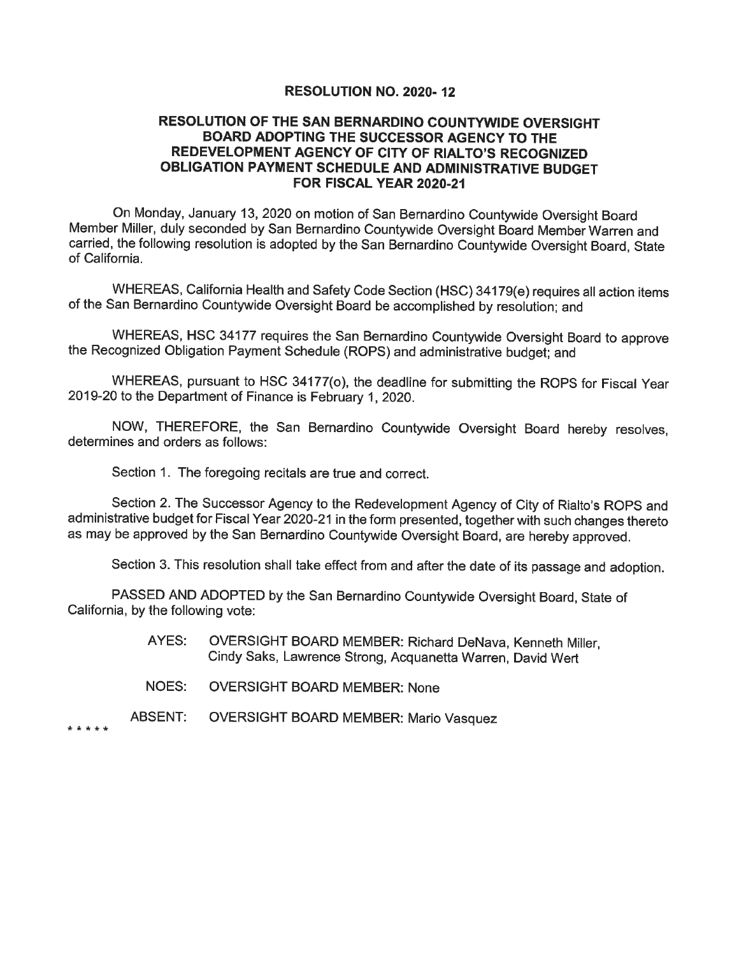#### **RESOLUTION NO. 2020-12**

#### RESOLUTION OF THE SAN BERNARDINO COUNTYWIDE OVERSIGHT BOARD ADOPTING THE SUCCESSOR AGENCY TO THE REDEVELOPMENT AGENCY OF CITY OF RIALTO'S RECOGNIZED OBLIGATION PAYMENT SCHEDULE AND ADMINISTRATIVE BUDGET FOR FISCAL YEAR 2020-21

On Monday, January 13, 2020 on motion of San Bernardino Countywide Oversight Board Member Miller, duly seconded by San Bernardino Countywide Oversight Board Member Warren and carried, the following resolution is adopted by the San Bernardino Countywide Oversight Board, State of California.

WHEREAS, California Health and Safety Code Section (HSC) 34179(e) requires all action items of the San Bernardino Countywide Oversight Board be accomplished by resolution; and

WHEREAS, HSC 34177 requires the San Bernardino Countywide Oversight Board to approve the Recognized Obligation Payment Schedule (ROPS) and administrative budget; and

WHEREAS, pursuant to HSC 34177(o), the deadline for submitting the ROPS for Fiscal Year 2019-20 to the Department of Finance is February 1, 2020.

NOW, THEREFORE, the San Bernardino Countywide Oversight Board hereby resolves, determines and orders as follows:

Section 1. The foregoing recitals are true and correct.

Section 2. The Successor Agency to the Redevelopment Agency of City of Rialto's ROPS and administrative budget for Fiscal Year 2020-21 in the form presented, together with such changes thereto as may be approved by the San Bernardino Countywide Oversight Board, are hereby approved.

Section 3. This resolution shall take effect from and after the date of its passage and adoption.

PASSED AND ADOPTED by the San Bernardino Countywide Oversight Board, State of California, by the following vote:

- AYES: OVERSIGHT BOARD MEMBER: Richard DeNava, Kenneth Miller. Cindy Saks, Lawrence Strong, Acquanetta Warren, David Wert
- **OVERSIGHT BOARD MEMBER: None** NOES:
- ABSENT: **OVERSIGHT BOARD MEMBER: Mario Vasquez**

\* \* \* \* \*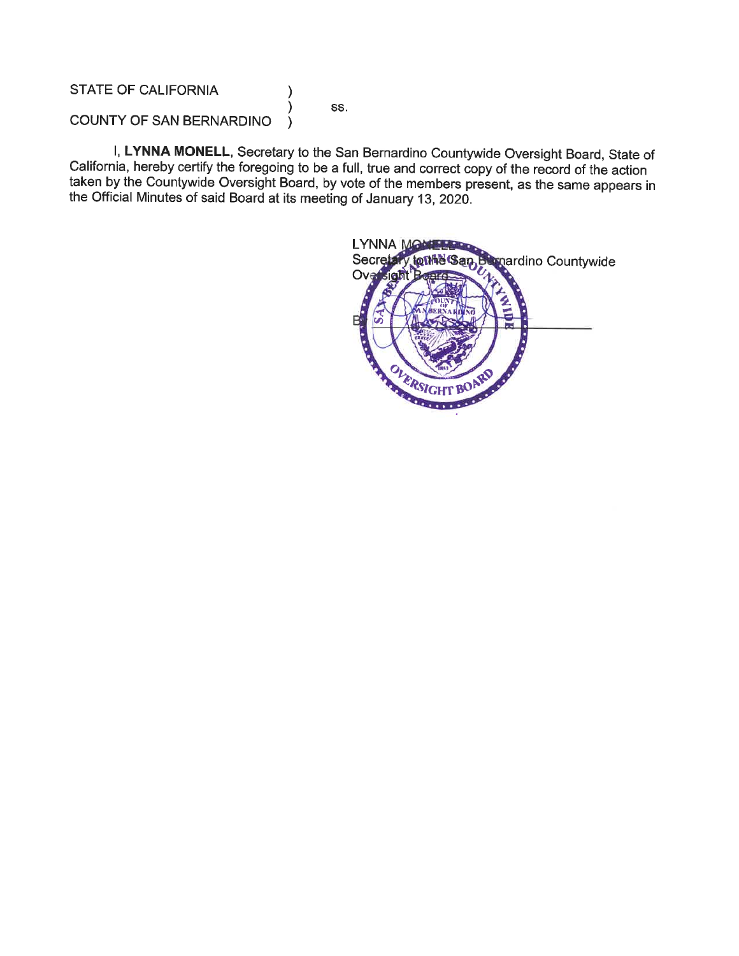**STATE OF CALIFORNIA** 

SS.

**COUNTY OF SAN BERNARDINO**  $\lambda$ 

I, LYNNA MONELL, Secretary to the San Bernardino Countywide Oversight Board, State of California, hereby certify the foregoing to be a full, true and correct copy of the record of the action taken by the Countywide Oversight Board, by vote of the members present, as the same appears in the Official Minutes of said Board at its meeting of January 13, 2020.

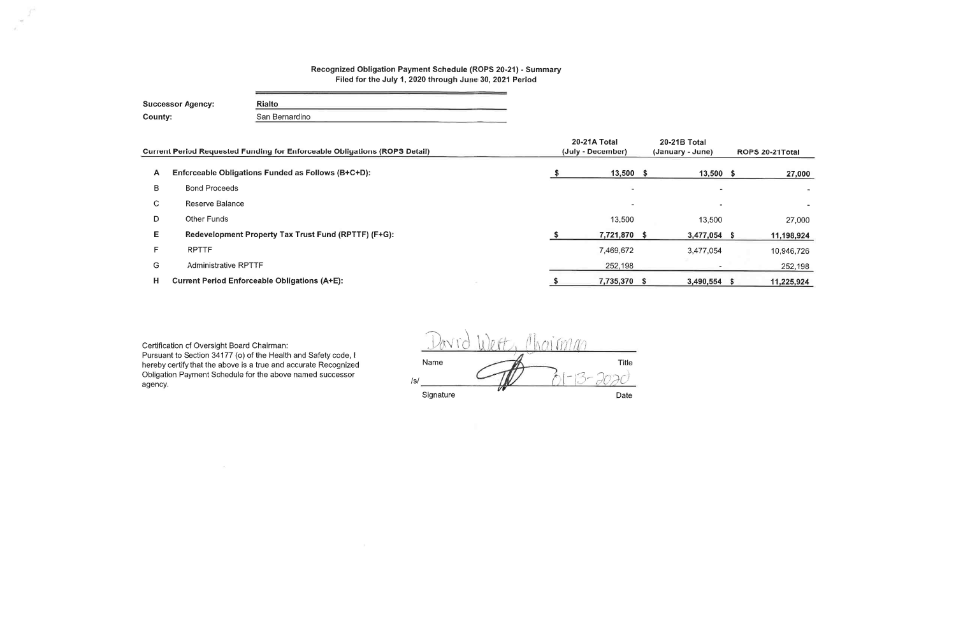# Recognized Obligation Payment Schedule (ROPS 20-21) - Summary<br>Filed for the July 1, 2020 through June 30, 2021 Period

| <b>Successor Agency:</b> | Rialto         |  |
|--------------------------|----------------|--|
| County:                  | San Bernardino |  |

| 20-21B Total<br>(January - June) | ROPS 20-21Total                                                                                     |  |  |
|----------------------------------|-----------------------------------------------------------------------------------------------------|--|--|
| $13,500$ \$<br>$13,500$ \$       | 27,000                                                                                              |  |  |
| $\,$<br>$\sim$                   |                                                                                                     |  |  |
| $\overline{\phantom{a}}$         |                                                                                                     |  |  |
| 13,500<br>13,500                 | 27,000                                                                                              |  |  |
|                                  | 11,198,924                                                                                          |  |  |
|                                  | 10,946,726                                                                                          |  |  |
|                                  | 252,198                                                                                             |  |  |
|                                  | 11,225,924                                                                                          |  |  |
|                                  | 7,721,870 \$<br>3,477,054 \$<br>7,469,672<br>3,477,054<br>252,198<br>7,735,370 \$<br>$3,490,554$ \$ |  |  |

 $\sim 100$ 

 $\sim$  $\sim$ 

> Certification of Oversight Board Chairman:<br>Pursuant to Section 34177 (o) of the Health and Safety code, I<br>hereby certify that the above is a true and accurate Recognized<br>Obligation Payment Schedule for the above named succ agency.

 $\equiv$ 

Ahaimm  $\mathbb{R}$ W Title Name سم ("  $\sqrt{s}$ Signature Date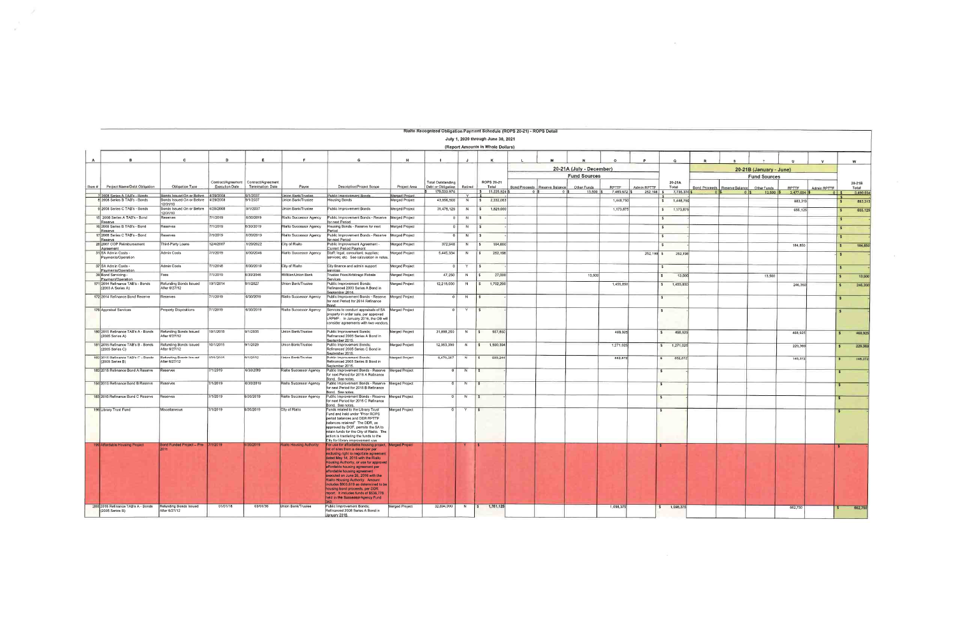|        |                                                                         |                                                                  |                       |                                         |                                          |                                                                                                                                                                                                                                                                                                                                                                                                                                 |                                  | Rialto Recognized Obligation Payment Schedule (ROPS 20-21) - ROPS Detail |                |                                      |        |                                                 |                            |                    |                        |                                                   |                      |                         |                          |                    |                    |              |           |
|--------|-------------------------------------------------------------------------|------------------------------------------------------------------|-----------------------|-----------------------------------------|------------------------------------------|---------------------------------------------------------------------------------------------------------------------------------------------------------------------------------------------------------------------------------------------------------------------------------------------------------------------------------------------------------------------------------------------------------------------------------|----------------------------------|--------------------------------------------------------------------------|----------------|--------------------------------------|--------|-------------------------------------------------|----------------------------|--------------------|------------------------|---------------------------------------------------|----------------------|-------------------------|--------------------------|--------------------|--------------------|--------------|-----------|
|        | July 1, 2020 through June 30, 2021<br>(Report Amounts in Whole Dollars) |                                                                  |                       |                                         |                                          |                                                                                                                                                                                                                                                                                                                                                                                                                                 |                                  |                                                                          |                |                                      |        |                                                 |                            |                    |                        |                                                   |                      |                         |                          |                    |                    |              |           |
|        |                                                                         |                                                                  |                       |                                         |                                          |                                                                                                                                                                                                                                                                                                                                                                                                                                 |                                  |                                                                          |                |                                      |        |                                                 |                            |                    |                        |                                                   |                      |                         |                          |                    |                    |              |           |
| A      | в.                                                                      | $\mathbf{C}$                                                     | D                     | $\epsilon$                              | F.                                       | G                                                                                                                                                                                                                                                                                                                                                                                                                               | H                                |                                                                          | $\mathbf{J}$   |                                      |        | M                                               |                            | $\Omega$           | <b>P</b>               | $\alpha$                                          | R.                   |                         |                          |                    | $\mathbf{v}$       | W            |           |
|        |                                                                         |                                                                  |                       |                                         |                                          |                                                                                                                                                                                                                                                                                                                                                                                                                                 |                                  |                                                                          |                |                                      |        | 20-21A (July - December)<br><b>Fund Sources</b> |                            |                    |                        |                                                   |                      | 20-21B (January - June) |                          |                    |                    |              |           |
|        |                                                                         |                                                                  |                       | Contract/Agreement   Contract/Agreement |                                          |                                                                                                                                                                                                                                                                                                                                                                                                                                 |                                  | <b>Total Outstanding</b>                                                 |                | <b>ROPS 20-21</b>                    |        |                                                 |                            |                    |                        | 20-21A                                            |                      |                         | <b>Fund Sources</b>      |                    |                    | 20-21B       |           |
| Item # | Project Name/Debt Obligation                                            | Obligation Type                                                  | <b>Execution Date</b> | <b>Termination Date</b>                 | Payee                                    | <b>Description/Project Scope</b>                                                                                                                                                                                                                                                                                                                                                                                                | Project Area                     | Debt or Obligation<br>179,533,974                                        | Retired        | Total<br>$\frac{1}{3}$ 11,225,924 \$ |        | Bond Proceeds   Reserve Balance                 | Other Funds<br>$13,500$ \$ | RPTTF<br>7,469,672 | Admin RPTTF<br>252,198 | Total<br>7.735.370 \$                             | <b>Bond Proceeds</b> | Reserve Balance         | Other Funds<br>13,500 \$ | RPTTF<br>3.477.054 | Admin RPTTF<br>01S | Total        | 3.490.554 |
|        | 7 2008 Series A TAB's - Bonds<br>2008 Series B TAB's - Bonds            | Bonds Issued On or Before 4/29/2008<br>Bonds Issued On or Before | /29/2008              | 9/1/2037<br>9/1/2037                    | Union Bank/Trustee<br>Union Bank/Trustee | Public Improvement Bonds<br>lousing Bonds                                                                                                                                                                                                                                                                                                                                                                                       | Merged Project<br>lerged Project | 43,956,500                                                               | N              | $\frac{1}{2}$ 2.332.063              |        |                                                 |                            | 1,448,750          |                        | 1,448,750                                         |                      |                         |                          | 883,313            |                    |              | 883,313   |
|        | 2008 Series C TAB's - Bonds                                             | 2/31/10<br>onds Issued On or Before                              | 4/29/2008             | 9/1/2037                                | Union Bank/Trustee                       | ublic Improvement Bonds                                                                                                                                                                                                                                                                                                                                                                                                         | Merged Project                   | 31,478,125                                                               | $\overline{N}$ | \$ 1,829,000                         |        |                                                 |                            | 1.173,875          |                        | \$ 1,173,875                                      |                      |                         |                          | 655,125            |                    |              | 655,125   |
|        | 15 2008 Series A TAB's - Bond                                           | 12/31/10<br>Reserves                                             | 7/1/2019              | 6/30/2019                               | Rialto Successor Agency                  | Public Improvement Bonds - Reserve                                                                                                                                                                                                                                                                                                                                                                                              | Merged Project                   |                                                                          | N              |                                      |        |                                                 |                            |                    |                        | $\sim$                                            |                      |                         |                          |                    |                    |              |           |
|        | Reserve<br>16 2008 Series B TAB's - Bond                                | Reserves                                                         | 7/1/2019              | 6/30/2019                               | Rialto Successor Agency                  | or next Period<br>Housing Bonds - Reserve for next                                                                                                                                                                                                                                                                                                                                                                              | Merged Project                   |                                                                          | N              | S                                    |        |                                                 |                            |                    |                        |                                                   |                      |                         |                          |                    |                    | $\mathbf{s}$ |           |
|        | Reserve<br>17 2008 Series C TAB's - Bond                                | Reserves                                                         | 7/1/2019              | 6/30/2019                               | Rialto Successor Agency                  | Period<br>Public Improvement Bonds - Reserve                                                                                                                                                                                                                                                                                                                                                                                    | lerged Project                   |                                                                          | N              |                                      |        |                                                 |                            |                    |                        |                                                   |                      |                         |                          |                    |                    |              |           |
|        | Reserve<br>20 2007 COP Reimbursement                                    | Third-Party Loans                                                | 12/4/2007             | 1/20/2022                               | City of Rialto                           | for next Period<br>Public Improvement Agreement -                                                                                                                                                                                                                                                                                                                                                                               | <b>Merged Project</b>            | 372,948                                                                  | $\overline{N}$ | ⊺s⊤<br>184,850                       |        |                                                 |                            |                    |                        |                                                   |                      |                         |                          | 184.850            |                    |              | 184,850   |
|        | Agreement<br>31 SA Admin Costs -                                        | Admin Costs                                                      | 7/1/2019              | 6/30/2046                               | Rialto Successor Agency                  | Current Period Payment<br>Staff; legal; consultant; supplies;                                                                                                                                                                                                                                                                                                                                                                   | lerged Project                   | 5,445,334                                                                | N              | 252,198<br>$\overline{\mathbf{s}}$   |        |                                                 |                            |                    | $252,198$ S            | 252,198                                           |                      |                         |                          |                    |                    |              |           |
|        | Payments/Operation<br>37 SA Admin Costs -                               | Admin Costs                                                      | 7/1/2018              | 6/30/2019                               | City of Rialto                           | ervices; etc. See calculation in notes<br>City finance and admin support                                                                                                                                                                                                                                                                                                                                                        | <b>Merged Project</b>            |                                                                          | Y              |                                      |        |                                                 |                            |                    |                        |                                                   |                      |                         |                          |                    |                    |              |           |
|        | Payments/Operation<br>39 Bond Servicing -                               | Fees                                                             | 7/1/2019              | 6/30/2046                               | Willdan/Union Bank                       | services<br>Trustee Fees/Arbitrage Rebate                                                                                                                                                                                                                                                                                                                                                                                       | Merged Project                   | 47,250                                                                   | $\overline{N}$ | $\overline{\mathbf{s}}$              | 27,000 |                                                 | 13,500                     |                    |                        |                                                   |                      |                         |                          |                    |                    | $\mathbf{r}$ |           |
|        | Payment/Operation<br>171 2014 Refinance TAB's - Bonds                   | Refunding Bonds Issued                                           | 10/1/2014             | 9/1/2027                                | Union Bank/Trustee                       | Services<br>Public Improvement Bonds;                                                                                                                                                                                                                                                                                                                                                                                           | Merged Project                   | 12,218,000                                                               | N              | 1,702,20                             |        |                                                 |                            | 1,455,850          |                        | 13,500<br>$\mathbf{S}$<br>$\overline{\mathsf{s}}$ |                      |                         | 13,500                   |                    |                    |              | 13,500    |
|        | (2003 A Series A)                                                       | After 6/27/12                                                    |                       |                                         |                                          | Refinanced 2003 Series A Bond in<br>September 2014.                                                                                                                                                                                                                                                                                                                                                                             |                                  |                                                                          |                |                                      |        |                                                 |                            |                    |                        | 1,455,850                                         |                      |                         |                          | 246,350            |                    |              | 246,350   |
|        | 172 2014 Refinance Bond Reserve                                         | leserves                                                         | 7/1/2019              | 6/30/2019                               | Rialto Successor Agency                  | Public Improvement Bonds - Reserve Merged Project<br>for next Period for 2014 Refinance<br>hnof                                                                                                                                                                                                                                                                                                                                 |                                  |                                                                          | $\mathbb{N}$   |                                      |        |                                                 |                            |                    |                        | s.                                                |                      |                         |                          |                    |                    |              |           |
|        | 176 Appraisal Services                                                  | Property Dispositions                                            | 7/1/2019              | 6/30/2019                               | Rialto Successor Agency                  | Services to conduct appraisals of SA Merged Project<br>property in order sale, per approved<br>LRPMP. In January 2016, the OB will<br>consider agreements with two vendors                                                                                                                                                                                                                                                      |                                  |                                                                          |                |                                      |        |                                                 |                            |                    |                        | S                                                 |                      |                         |                          |                    |                    |              |           |
|        | 180 2015 Refinance TAB's A - Bonds<br>(2005 Series A)                   | Refunding Bonds Issued<br>fter 6/27/12                           | 10/1/2015             | 9/1/2035                                | Union Bank/Trustee                       | Public Improvement Bonds;<br>Refinanced 2005 Series A Bond in                                                                                                                                                                                                                                                                                                                                                                   | Merged Project                   | 31,898,250                                                               | N              | 937,850<br>is.                       |        |                                                 |                            | 468,925            |                        | 468,925<br>$\overline{\mathbf{s}}$                |                      |                         |                          | 468,925            |                    |              | 468,92    |
|        | 181 2015 Refinance TAB's B - Bonds<br>(2005 Series C)                   | Refunding Bonds Issued<br>After 6/27/12                          | 10/1/2015             | 9/1/2029                                | Union Bank/Trustee                       | September 2015.<br>Public Improvement Bonds;<br>Refinanced 2005 Series C Bond in                                                                                                                                                                                                                                                                                                                                                | <b>Aerged Project</b>            | 12,953,300                                                               | $\overline{N}$ | 1,500,394<br>$\sqrt{s}$              |        |                                                 |                            | 1,271,025          |                        | 1,271,025<br>S                                    |                      |                         |                          | 229,369            |                    |              | 229,36    |
|        | 182 2015 Refinance TAB's C - Bonds<br>$(2005$ Series B)                 | Refunding Bonds Issued<br>After 6/27/12                          | 10/1/2015             | 9/1/2032                                | Union Bank/Trustee                       | September 2015.<br>Public Improvement Bonds;<br>Refinanced 2005 Series B Bond in                                                                                                                                                                                                                                                                                                                                                | Merged Project                   | 8,470,267                                                                | $\overline{N}$ | 699,244<br>$\overline{s}$            |        |                                                 |                            | 552.872            |                        | 552,872<br>$\mathbf{S}$                           |                      |                         |                          | 146,372            |                    |              | 146,37    |
|        | 183 2015 Refinance Bond A Reserve                                       | Reserves                                                         | 7/1/2019              | 6/30/2019                               | Rialto Successor Agency                  | september 2015.<br>Public Improvement Bonds - Reserve<br>for next Period for 2015 A Refinance<br>ond. See notes.                                                                                                                                                                                                                                                                                                                | Merged Project                   | 0 <sup>1</sup>                                                           | N              | $\sim$                               |        |                                                 |                            |                    |                        |                                                   |                      |                         |                          |                    |                    |              |           |
|        | 184 2015 Refinance Bond B Reserve                                       | Reserves                                                         | 7/1/2019              | 6/30/2019                               | Rialto Successor Agency                  | Public Improvement Bonds - Reserve Merged Project<br>for next Period for 2015 B Refinance                                                                                                                                                                                                                                                                                                                                       |                                  | $\Omega$                                                                 | N              | l s                                  |        |                                                 |                            |                    |                        |                                                   |                      |                         |                          |                    |                    |              |           |
|        | 185 2015 Refinance Bond C Reserve                                       | Reserves                                                         | 7/1/2019              | 6/30/2019                               | <b>Rialto Successor Agency</b>           | ond. See notes.<br>Public Improvement Bonds - Reserve<br>for next Period for 2015 C Refinance                                                                                                                                                                                                                                                                                                                                   | Merged Project                   | $\mathbf{a}$                                                             | N              | $\sqrt{S}$                           |        |                                                 |                            |                    |                        |                                                   |                      |                         |                          |                    |                    |              |           |
|        | 198 Library Trust Fund                                                  | Miscellaneous                                                    | 7/1/2019              | 6/30/2019                               | City of Rialto                           | Bond. See notes.<br>unds related to the Library Trust                                                                                                                                                                                                                                                                                                                                                                           | Merged Project                   |                                                                          | Y              | $\sqrt{5}$                           |        |                                                 |                            |                    |                        |                                                   |                      |                         |                          |                    |                    |              |           |
|        |                                                                         |                                                                  |                       |                                         |                                          | Fund and held under "Prior ROPS<br>period balances and DDR RPTTF<br>balances retained" The DDR, as<br>approved by DOF, permits the SA to<br>retain funds for the City of Rialto. The<br>action is tranfering the funds to the<br>City for library improvement use.                                                                                                                                                              |                                  |                                                                          |                |                                      |        |                                                 |                            |                    |                        |                                                   |                      |                         |                          |                    |                    |              |           |
|        | 199 Affordable Housing Project                                          | Bond Funded Project - Pre- 7/1/2019                              |                       | 6/30/2019                               | <b>Rialto Housing Authority</b>          | For use for affordable housing project, Merged Project<br>ist of sites from a developer per                                                                                                                                                                                                                                                                                                                                     |                                  |                                                                          |                |                                      |        |                                                 |                            |                    |                        |                                                   |                      |                         |                          |                    |                    |              |           |
|        |                                                                         |                                                                  |                       |                                         |                                          | exclusing right to negotiate agreement<br>dated May 14, 2015 with the Rialto<br>Housing Authority, or use for approved<br>affordable housing agreement per<br>affordable housing agreement<br>executed on June 26, 2016 with the<br>Rialto Housing Authority. Amount<br>includes \$805,619 as determined to be<br>housing bond proceeds, per DDR<br>report. It includes funds of \$536,778<br>held in the Successor Agency Fund |                                  |                                                                          |                |                                      |        |                                                 |                            |                    |                        |                                                   |                      |                         |                          |                    |                    |              |           |
|        | 200 2018 Refinance TAB's A - Bonds<br>(2005 Series B)                   | Refunding Bonds Issued<br>After 6/27/12                          | 01/01/18              | 03/01/36                                | Union Bank/Trustee                       | Public Improvement Bonds;<br>Refinanced 2008 Series A Bond in<br>January 2018                                                                                                                                                                                                                                                                                                                                                   | Merged Project                   | 32,694,000                                                               | N              | 1,761,125<br>$\overline{\mathbf{s}}$ |        |                                                 |                            | 1,098,375          |                        | \$1,098,375                                       |                      |                         |                          | 662,750            |                    |              | 662,750   |

 $\sim 10^{-11}$